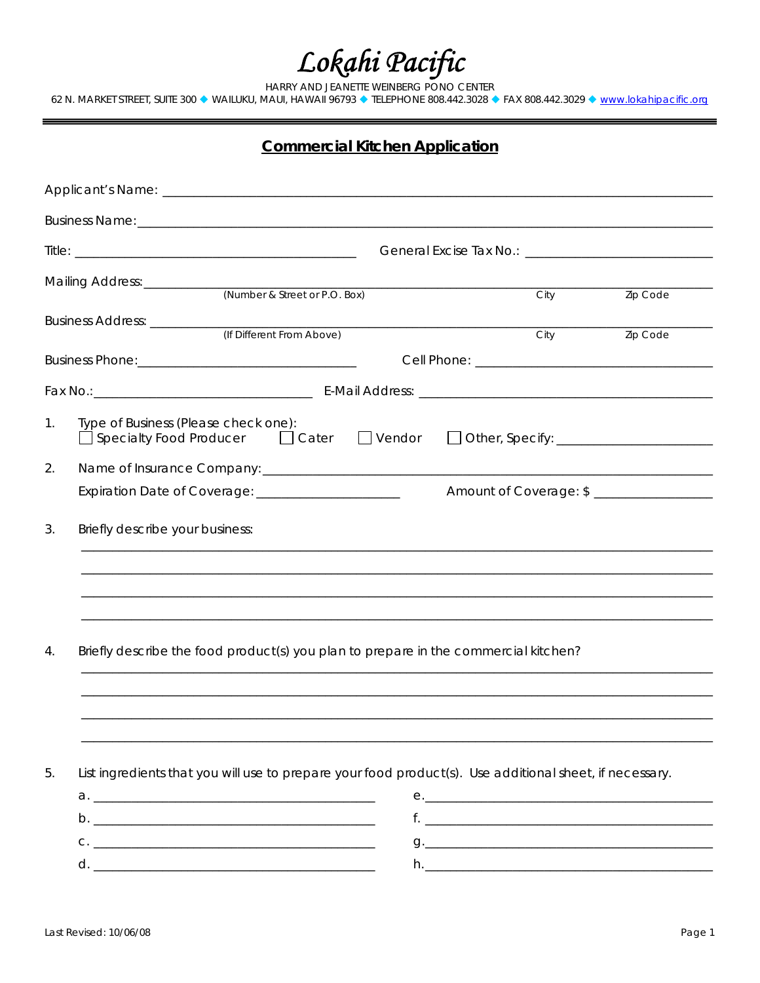$\textit{LoR} \textit{ah} \textit{Pacific}$ <br>
HARRY AND JEANETE WEINBERG PONO CENTER<br>
62 N. MARKET STREET, SUITE 300  $\bullet$  WAILUKU, MAUI, HAWAII 96793  $\bullet$  TELEPHONE 808.442.3028  $\bullet$  FAX 808.442.3029  $\bullet$  <u>www.lokahipacific.org</u>

|--|

|                | (Number & Street or P.O. Box)                                                                                                                                                                                                  |  | City |  | Zip Code |  |  |  |
|----------------|--------------------------------------------------------------------------------------------------------------------------------------------------------------------------------------------------------------------------------|--|------|--|----------|--|--|--|
|                | Business Address: ___________<br>(If Different From Above)                                                                                                                                                                     |  | City |  | Zip Code |  |  |  |
|                |                                                                                                                                                                                                                                |  |      |  |          |  |  |  |
|                | Fax No.: 2008. [2016] [2016] [2016] [2016] [2016] [2016] [2016] [2016] [2016] [2016] [2016] [2016] [2016] [2016] [2016] [2016] [2016] [2016] [2016] [2016] [2016] [2016] [2016] [2016] [2016] [2016] [2016] [2016] [2016] [201 |  |      |  |          |  |  |  |
| 1 <sub>1</sub> | Type of Business (Please check one):<br>$\Box$ Cater $\Box$ Vendor<br>$\Box$ Specialty Food Producer                                                                                                                           |  |      |  |          |  |  |  |
| 2.             |                                                                                                                                                                                                                                |  |      |  |          |  |  |  |
|                | Expiration Date of Coverage: _______________________                                                                                                                                                                           |  |      |  |          |  |  |  |
| 3.             | Briefly describe your business:                                                                                                                                                                                                |  |      |  |          |  |  |  |
|                |                                                                                                                                                                                                                                |  |      |  |          |  |  |  |
|                |                                                                                                                                                                                                                                |  |      |  |          |  |  |  |
|                |                                                                                                                                                                                                                                |  |      |  |          |  |  |  |
| 4.             | Briefly describe the food product(s) you plan to prepare in the commercial kitchen?                                                                                                                                            |  |      |  |          |  |  |  |
|                |                                                                                                                                                                                                                                |  |      |  |          |  |  |  |
|                |                                                                                                                                                                                                                                |  |      |  |          |  |  |  |
|                |                                                                                                                                                                                                                                |  |      |  |          |  |  |  |
| 5.             | List ingredients that you will use to prepare your food product(s). Use additional sheet, if necessary.                                                                                                                        |  |      |  |          |  |  |  |
|                |                                                                                                                                                                                                                                |  |      |  |          |  |  |  |
|                |                                                                                                                                                                                                                                |  |      |  |          |  |  |  |
|                |                                                                                                                                                                                                                                |  |      |  |          |  |  |  |
|                |                                                                                                                                                                                                                                |  |      |  |          |  |  |  |